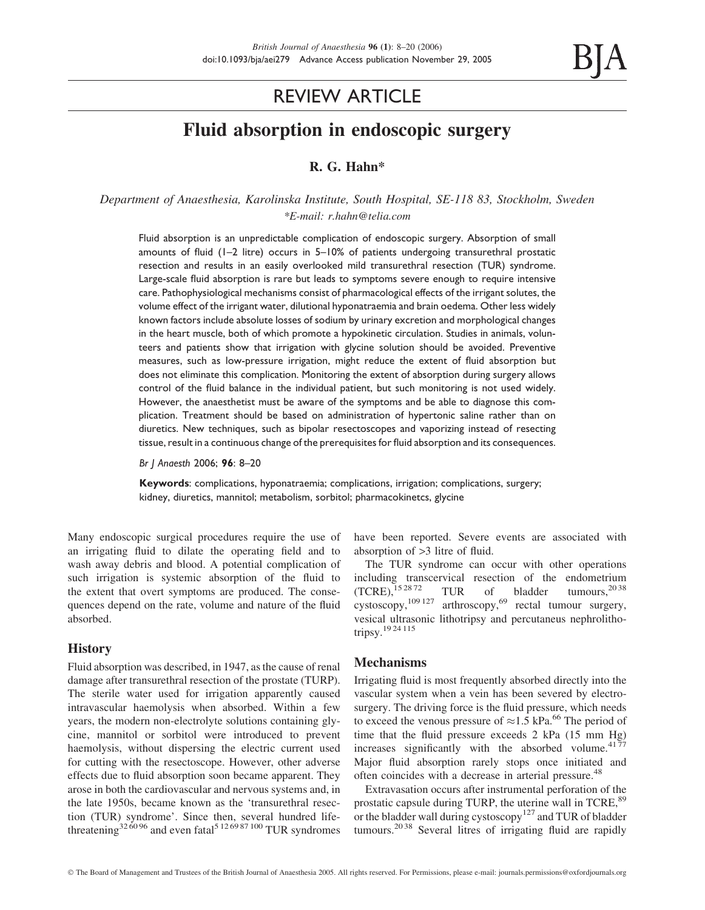# REVIEW ARTICLE

# Fluid absorption in endoscopic surgery

R. G. Hahn\*

Department of Anaesthesia, Karolinska Institute, South Hospital, SE-118 83, Stockholm, Sweden \*E-mail: r.hahn@telia.com

Fluid absorption is an unpredictable complication of endoscopic surgery. Absorption of small amounts of fluid (1–2 litre) occurs in 5–10% of patients undergoing transurethral prostatic resection and results in an easily overlooked mild transurethral resection (TUR) syndrome. Large-scale fluid absorption is rare but leads to symptoms severe enough to require intensive care. Pathophysiological mechanisms consist of pharmacological effects of the irrigant solutes, the volume effect of the irrigant water, dilutional hyponatraemia and brain oedema. Other less widely known factors include absolute losses of sodium by urinary excretion and morphological changes in the heart muscle, both of which promote a hypokinetic circulation. Studies in animals, volunteers and patients show that irrigation with glycine solution should be avoided. Preventive measures, such as low-pressure irrigation, might reduce the extent of fluid absorption but does not eliminate this complication. Monitoring the extent of absorption during surgery allows control of the fluid balance in the individual patient, but such monitoring is not used widely. However, the anaesthetist must be aware of the symptoms and be able to diagnose this complication. Treatment should be based on administration of hypertonic saline rather than on diuretics. New techniques, such as bipolar resectoscopes and vaporizing instead of resecting tissue, result in a continuous change of the prerequisites for fluid absorption and its consequences.

Br J Anaesth 2006; 96: 8–20

Keywords: complications, hyponatraemia; complications, irrigation; complications, surgery; kidney, diuretics, mannitol; metabolism, sorbitol; pharmacokinetcs, glycine

Many endoscopic surgical procedures require the use of an irrigating fluid to dilate the operating field and to wash away debris and blood. A potential complication of such irrigation is systemic absorption of the fluid to the extent that overt symptoms are produced. The consequences depend on the rate, volume and nature of the fluid absorbed.

# **History**

Fluid absorption was described, in 1947, as the cause of renal damage after transurethral resection of the prostate (TURP). The sterile water used for irrigation apparently caused intravascular haemolysis when absorbed. Within a few years, the modern non-electrolyte solutions containing glycine, mannitol or sorbitol were introduced to prevent haemolysis, without dispersing the electric current used for cutting with the resectoscope. However, other adverse effects due to fluid absorption soon became apparent. They arose in both the cardiovascular and nervous systems and, in the late 1950s, became known as the 'transurethral resection (TUR) syndrome'. Since then, several hundred lifethreatening<sup>32 60 96</sup> and even fatal<sup>5 12 69 87 100</sup> TUR syndromes have been reported. Severe events are associated with absorption of >3 litre of fluid.

The TUR syndrome can occur with other operations including transcervical resection of the endometrium  $(TCRE),^{15\,28\,72}$  TUR of bladder tumours,<sup>2038</sup> cystoscopy,<sup>109 127</sup> arthroscopy,<sup>69</sup> rectal tumour surgerv, arthroscopy, $69$  rectal tumour surgery, vesical ultrasonic lithotripsy and percutaneus nephrolithotripsy.<sup>19 24 115</sup>

# Mechanisms

Irrigating fluid is most frequently absorbed directly into the vascular system when a vein has been severed by electrosurgery. The driving force is the fluid pressure, which needs to exceed the venous pressure of  $\approx 1.5$  kPa.<sup>66</sup> The period of time that the fluid pressure exceeds 2 kPa (15 mm Hg) increases significantly with the absorbed volume.  $4177$ Major fluid absorption rarely stops once initiated and often coincides with a decrease in arterial pressure.<sup>48</sup>

Extravasation occurs after instrumental perforation of the prostatic capsule during TURP, the uterine wall in TCRE, <sup>89</sup> or the bladder wall during cystoscopy<sup>127</sup> and TUR of bladder tumours.20 38 Several litres of irrigating fluid are rapidly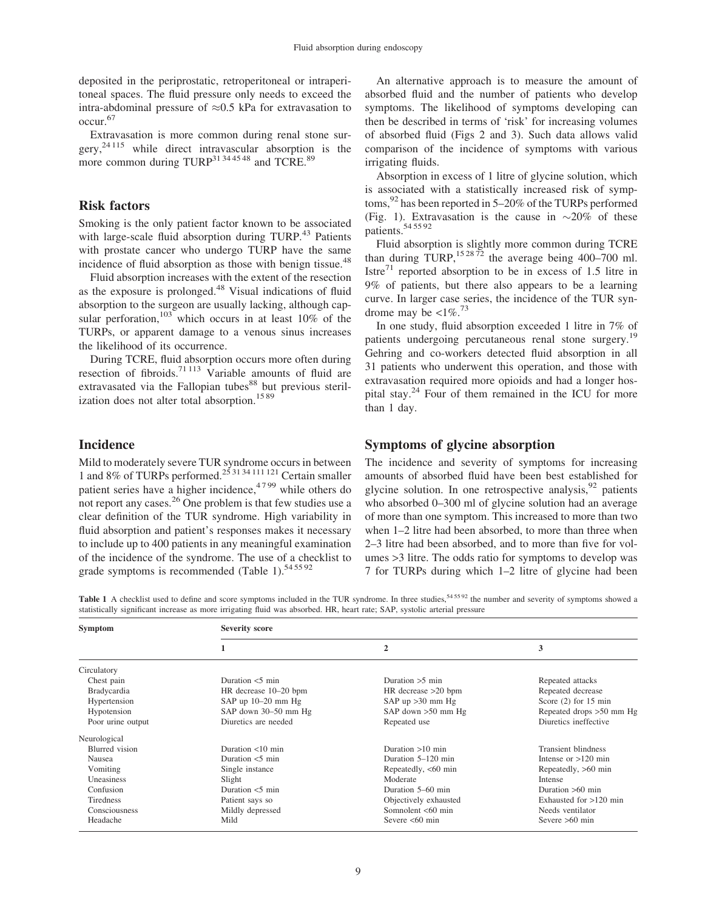deposited in the periprostatic, retroperitoneal or intraperitoneal spaces. The fluid pressure only needs to exceed the intra-abdominal pressure of  $\approx 0.5$  kPa for extravasation to occur.<sup>67</sup>

Extravasation is more common during renal stone surgery,24 115 while direct intravascular absorption is the more common during  $TURP^{31\,34\,45\,48}$  and  $TCRE^{89}$ .

# Risk factors

Smoking is the only patient factor known to be associated with large-scale fluid absorption during TURP.<sup>43</sup> Patients with prostate cancer who undergo TURP have the same incidence of fluid absorption as those with benign tissue.<sup>48</sup>

Fluid absorption increases with the extent of the resection as the exposure is prolonged.<sup>48</sup> Visual indications of fluid absorption to the surgeon are usually lacking, although capsular perforation,  $103$  which occurs in at least  $10\%$  of the TURPs, or apparent damage to a venous sinus increases the likelihood of its occurrence.

During TCRE, fluid absorption occurs more often during resection of fibroids.<sup>71 113</sup> Variable amounts of fluid are extravasated via the Fallopian tubes<sup>88</sup> but previous sterilization does not alter total absorption.<sup>15 89</sup>

# Incidence

Mild to moderately severe TUR syndrome occurs in between 1 and 8% of TURPs performed.25 31 34 111 121 Certain smaller patient series have a higher incidence, $4799$  while others do not report any cases.<sup>26</sup> One problem is that few studies use a clear definition of the TUR syndrome. High variability in fluid absorption and patient's responses makes it necessary to include up to 400 patients in any meaningful examination of the incidence of the syndrome. The use of a checklist to grade symptoms is recommended (Table 1). $545592$ 

An alternative approach is to measure the amount of absorbed fluid and the number of patients who develop symptoms. The likelihood of symptoms developing can then be described in terms of 'risk' for increasing volumes of absorbed fluid (Figs 2 and 3). Such data allows valid comparison of the incidence of symptoms with various irrigating fluids.

Absorption in excess of 1 litre of glycine solution, which is associated with a statistically increased risk of symptoms,<sup>92</sup> has been reported in 5–20% of the TURPs performed (Fig. 1). Extravasation is the cause in  $\sim$ 20% of these patients.<sup>54 55 92</sup>

Fluid absorption is slightly more common during TCRE than during TURP,  $^{1528\,72}$  the average being 400–700 ml. Istre $^{71}$  reported absorption to be in excess of 1.5 litre in 9% of patients, but there also appears to be a learning curve. In larger case series, the incidence of the TUR syndrome may be  $\lt 1\%$ <sup>73</sup>

In one study, fluid absorption exceeded 1 litre in 7% of patients undergoing percutaneous renal stone surgery.<sup>19</sup> Gehring and co-workers detected fluid absorption in all 31 patients who underwent this operation, and those with extravasation required more opioids and had a longer hospital stay.<sup>24</sup> Four of them remained in the ICU for more than 1 day.

# Symptoms of glycine absorption

The incidence and severity of symptoms for increasing amounts of absorbed fluid have been best established for glycine solution. In one retrospective analysis,  $^{92}$  patients who absorbed 0–300 ml of glycine solution had an average of more than one symptom. This increased to more than two when 1–2 litre had been absorbed, to more than three when 2–3 litre had been absorbed, and to more than five for volumes >3 litre. The odds ratio for symptoms to develop was 7 for TURPs during which 1–2 litre of glycine had been

Table 1 A checklist used to define and score symptoms included in the TUR syndrome. In three studies,<sup>54 55 92</sup> the number and severity of symptoms showed a statistically significant increase as more irrigating fluid was absorbed. HR, heart rate; SAP, systolic arterial pressure

| <b>Symptom</b>    | <b>Severity score</b> |                       |                          |
|-------------------|-----------------------|-----------------------|--------------------------|
|                   |                       | $\overline{2}$        | 3                        |
| Circulatory       |                       |                       |                          |
| Chest pain        | Duration $<$ 5 min    | Duration $>5$ min     | Repeated attacks         |
| Bradycardia       | HR decrease 10-20 bpm | HR decrease $>20$ bpm | Repeated decrease        |
| Hypertension      | SAP up 10-20 mm Hg    | SAP up $>30$ mm Hg    | Score $(2)$ for 15 min   |
| Hypotension       | SAP down 30-50 mm Hg  | SAP down $>50$ mm Hg  | Repeated drops >50 mm Hg |
| Poor urine output | Diuretics are needed  | Repeated use          | Diuretics ineffective    |
| Neurological      |                       |                       |                          |
| Blurred vision    | Duration $< 10$ min   | Duration $>10$ min    | Transient blindness      |
| Nausea            | Duration $<$ 5 min    | Duration 5-120 min    | Intense or $>120$ min    |
| Vomiting          | Single instance       | Repeatedly, <60 min   | Repeatedly, >60 min      |
| Uneasiness        | Slight                | Moderate              | Intense                  |
| Confusion         | Duration $<$ 5 min    | Duration 5–60 min     | Duration $>60$ min       |
| Tiredness         | Patient says so       | Objectively exhausted | Exhausted for $>120$ min |
| Consciousness     | Mildly depressed      | Somnolent $< 60$ min  | Needs ventilator         |
| Headache          | Mild                  | Severe $< 60$ min     | Severe $>60$ min         |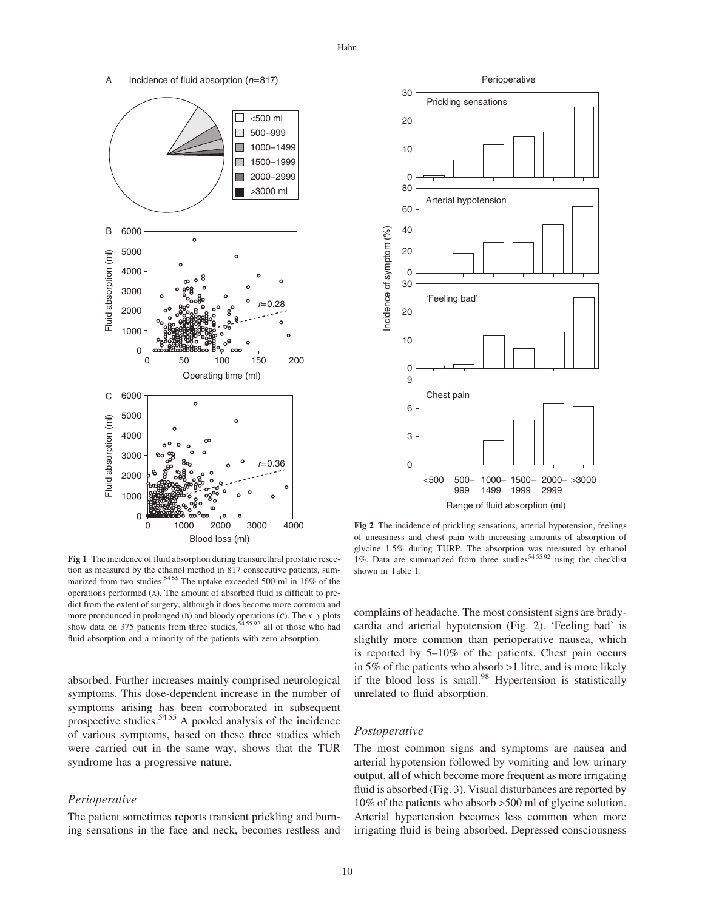

A Incidence of fluid absorption  $(n=817)$ 

Fig 1 The incidence of fluid absorption during transurethral prostatic resection as measured by the ethanol method in 817 consecutive patients, summarized from two studies.<sup>54.55</sup> The uptake exceeded 500 ml in 16% of the operations performed (A). The amount of absorbed fluid is difficult to predict from the extent of surgery, although it does become more common and more pronounced in prolonged (B) and bloody operations (C). The  $x-y$  plots show data on 375 patients from three studies,  $54,5592$  all of those who had fluid absorption and a minority of the patients with zero absorption.

absorbed. Further increases mainly comprised neurological symptoms. This dose-dependent increase in the number of symptoms arising has been corroborated in subsequent prospective studies.<sup>5455</sup> A pooled analysis of the incidence of various symptoms, based on these three studies which were carried out in the same way, shows that the TUR syndrome has a progressive nature.

## Perioperative

The patient sometimes reports transient prickling and burning sensations in the face and neck, becomes restless and



Fig 2 The incidence of prickling sensations, arterial hypotension, feelings of uneasiness and chest pain with increasing amounts of absorption of glycine 1.5% during TURP. The absorption was measured by ethanol 1%. Data are summarized from three studies<sup>54 5592</sup> using the checklist shown in Table 1.

complains of headache. The most consistent signs are bradycardia and arterial hypotension (Fig. 2). 'Feeling bad' is slightly more common than perioperative nausea, which is reported by 5–10% of the patients. Chest pain occurs in 5% of the patients who absorb >1 litre, and is more likely if the blood loss is small. $98$  Hypertension is statistically unrelated to fluid absorption.

#### Postoperative

The most common signs and symptoms are nausea and arterial hypotension followed by vomiting and low urinary output, all of which become more frequent as more irrigating fluid is absorbed (Fig. 3). Visual disturbances are reported by 10% of the patients who absorb >500 ml of glycine solution. Arterial hypertension becomes less common when more irrigating fluid is being absorbed. Depressed consciousness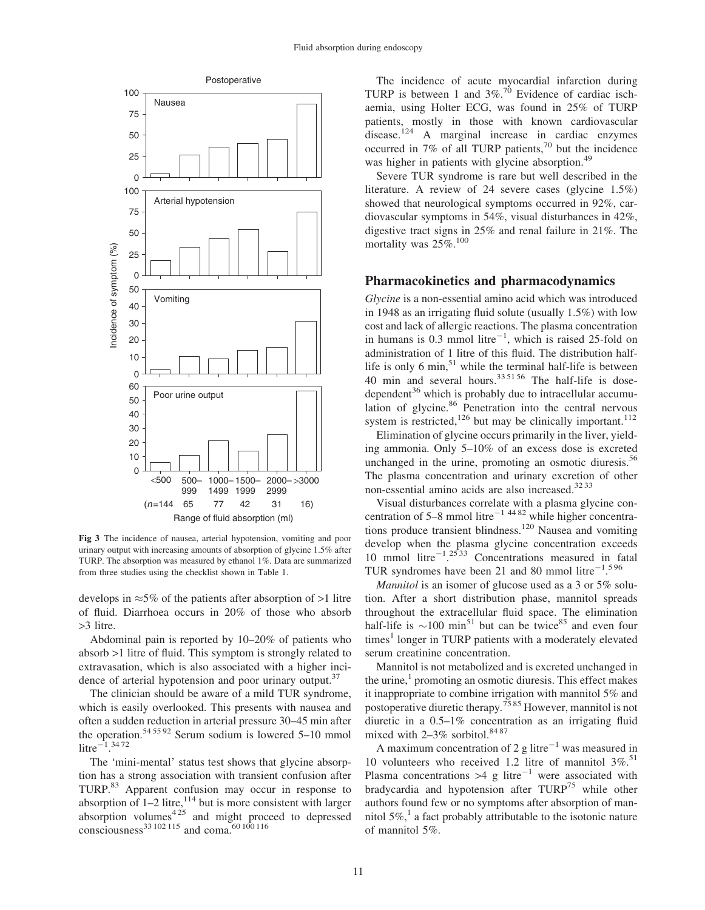

Fig 3 The incidence of nausea, arterial hypotension, vomiting and poor urinary output with increasing amounts of absorption of glycine 1.5% after TURP. The absorption was measured by ethanol 1%. Data are summarized from three studies using the checklist shown in Table 1.

develops in  $\approx$ 5% of the patients after absorption of >1 litre of fluid. Diarrhoea occurs in 20% of those who absorb >3 litre.

Abdominal pain is reported by 10–20% of patients who absorb >1 litre of fluid. This symptom is strongly related to extravasation, which is also associated with a higher incidence of arterial hypotension and poor urinary output.<sup>37</sup>

The clinician should be aware of a mild TUR syndrome, which is easily overlooked. This presents with nausea and often a sudden reduction in arterial pressure 30–45 min after the operation.<sup>54,5592</sup> Serum sodium is lowered 5–10 mmol  $\text{litre}^{-1}$ .<sup>3472</sup>

The 'mini-mental' status test shows that glycine absorption has a strong association with transient confusion after TURP.<sup>83</sup> Apparent confusion may occur in response to absorption of  $1-2$  litre,  $114$  but is more consistent with larger absorption volumes $425$  and might proceed to depressed consciousness<sup>33 102 115</sup> and coma.<sup>60 100 116</sup>

The incidence of acute myocardial infarction during TURP is between 1 and  $3\%$ .<sup>70</sup> Evidence of cardiac ischaemia, using Holter ECG, was found in 25% of TURP patients, mostly in those with known cardiovascular disease.<sup>124</sup> A marginal increase in cardiac enzymes occurred in 7% of all TURP patients,<sup>70</sup> but the incidence was higher in patients with glycine absorption.<sup>49</sup>

Severe TUR syndrome is rare but well described in the literature. A review of 24 severe cases (glycine 1.5%) showed that neurological symptoms occurred in 92%, cardiovascular symptoms in 54%, visual disturbances in 42%, digestive tract signs in 25% and renal failure in 21%. The mortality was 25%.<sup>100</sup>

## Pharmacokinetics and pharmacodynamics

Glycine is a non-essential amino acid which was introduced in 1948 as an irrigating fluid solute (usually 1.5%) with low cost and lack of allergic reactions. The plasma concentration in humans is 0.3 mmol litre $^{-1}$ , which is raised 25-fold on administration of 1 litre of this fluid. The distribution halflife is only 6 min,<sup>51</sup> while the terminal half-life is between 40 min and several hours. $33\frac{51}{56}$  The half-life is dosedependent<sup>36</sup> which is probably due to intracellular accumulation of glycine.<sup>86</sup> Penetration into the central nervous system is restricted,<sup>126</sup> but may be clinically important.<sup>112</sup>

Elimination of glycine occurs primarily in the liver, yielding ammonia. Only 5–10% of an excess dose is excreted unchanged in the urine, promoting an osmotic diuresis.<sup>56</sup> The plasma concentration and urinary excretion of other non-essential amino acids are also increased.32 33

Visual disturbances correlate with a plasma glycine concentration of  $5-8$  mmol litre<sup>-1 44 82</sup> while higher concentrations produce transient blindness.<sup>120</sup> Nausea and vomiting develop when the plasma glycine concentration exceeds 10 mmol litre<sup> $-1.2533$ </sup> Concentrations measured in fatal TUR syndromes have been 21 and 80 mmol litre<sup> $-1.596$ </sup>

Mannitol is an isomer of glucose used as a 3 or 5% solution. After a short distribution phase, mannitol spreads throughout the extracellular fluid space. The elimination half-life is  $\sim$ 100 min<sup>51</sup> but can be twice<sup>85</sup> and even four times<sup>1</sup> longer in TURP patients with a moderately elevated serum creatinine concentration.

Mannitol is not metabolized and is excreted unchanged in the urine, $<sup>1</sup>$  promoting an osmotic diuresis. This effect makes</sup> it inappropriate to combine irrigation with mannitol 5% and postoperative diuretic therapy.<sup>7585</sup> However, mannitol is not diuretic in a 0.5–1% concentration as an irrigating fluid mixed with  $2-3\%$  sorbitol.<sup>8487</sup>

A maximum concentration of 2 g litre<sup> $-1$ </sup> was measured in 10 volunteers who received 1.2 litre of mannitol  $3\%$ <sup>51</sup> Plasma concentrations  $>4$  g litre<sup>-1</sup> were associated with bradycardia and hypotension after TURP<sup>75</sup> while other authors found few or no symptoms after absorption of mannitol  $5\%$ ,<sup>1</sup> a fact probably attributable to the isotonic nature of mannitol 5%.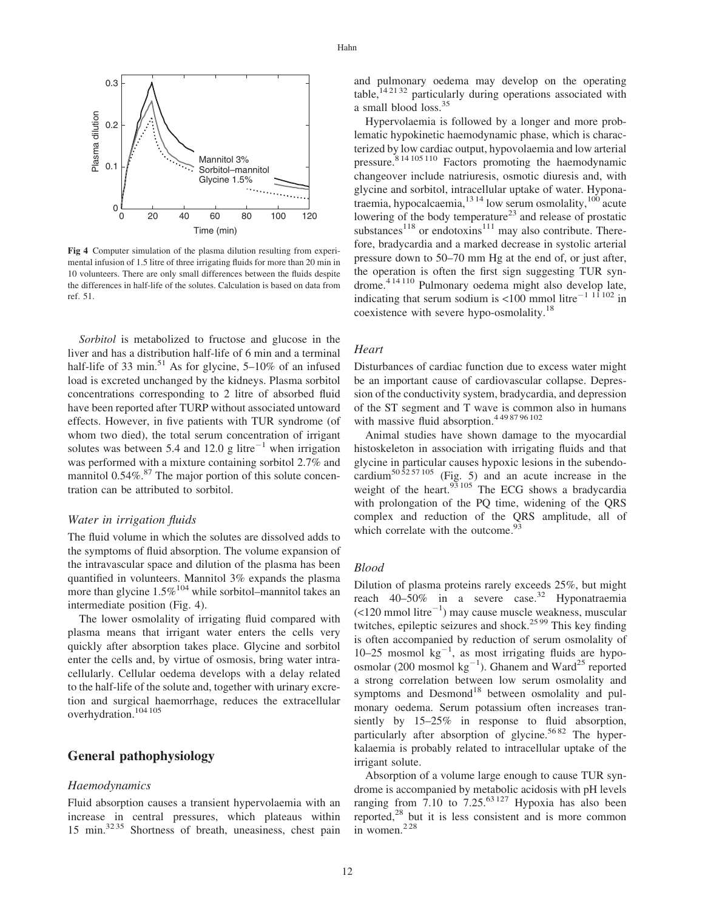

Fig 4 Computer simulation of the plasma dilution resulting from experimental infusion of 1.5 litre of three irrigating fluids for more than 20 min in 10 volunteers. There are only small differences between the fluids despite the differences in half-life of the solutes. Calculation is based on data from ref. 51.

Sorbitol is metabolized to fructose and glucose in the liver and has a distribution half-life of 6 min and a terminal half-life of 33 min.<sup>51</sup> As for glycine,  $5-10\%$  of an infused load is excreted unchanged by the kidneys. Plasma sorbitol concentrations corresponding to 2 litre of absorbed fluid have been reported after TURP without associated untoward effects. However, in five patients with TUR syndrome (of whom two died), the total serum concentration of irrigant solutes was between 5.4 and 12.0 g litre<sup>-1</sup> when irrigation was performed with a mixture containing sorbitol 2.7% and mannitol  $0.54\%$ <sup>87</sup> The major portion of this solute concentration can be attributed to sorbitol.

### Water in irrigation fluids

The fluid volume in which the solutes are dissolved adds to the symptoms of fluid absorption. The volume expansion of the intravascular space and dilution of the plasma has been quantified in volunteers. Mannitol 3% expands the plasma more than glycine  $1.5\%$ <sup>104</sup> while sorbitol–mannitol takes an intermediate position (Fig. 4).

The lower osmolality of irrigating fluid compared with plasma means that irrigant water enters the cells very quickly after absorption takes place. Glycine and sorbitol enter the cells and, by virtue of osmosis, bring water intracellularly. Cellular oedema develops with a delay related to the half-life of the solute and, together with urinary excretion and surgical haemorrhage, reduces the extracellular overhydration.104 105

## General pathophysiology

#### Haemodynamics

Fluid absorption causes a transient hypervolaemia with an increase in central pressures, which plateaus within 15 min.32 35 Shortness of breath, uneasiness, chest pain and pulmonary oedema may develop on the operating  $table<sub>142132</sub>$  particularly during operations associated with a small blood loss.<sup>35</sup>

Hypervolaemia is followed by a longer and more problematic hypokinetic haemodynamic phase, which is characterized by low cardiac output, hypovolaemia and low arterial pressure.  $8^{14\,105\,110}$  Factors promoting the haemodynamic changeover include natriuresis, osmotic diuresis and, with glycine and sorbitol, intracellular uptake of water. Hyponatraemia, hypocalcaemia,<sup>13 14</sup> low serum osmolality,<sup>100</sup> acute lowering of the body temperature<sup>23</sup> and release of prostatic substances<sup>118</sup> or endotoxins<sup>111</sup> may also contribute. Therefore, bradycardia and a marked decrease in systolic arterial pressure down to 50–70 mm Hg at the end of, or just after, the operation is often the first sign suggesting TUR syndrome.4 14 110 Pulmonary oedema might also develop late, indicating that serum sodium is  $\lt 100$  mmol litre<sup>-1 11 102</sup> in coexistence with severe hypo-osmolality.18

## Heart

Disturbances of cardiac function due to excess water might be an important cause of cardiovascular collapse. Depression of the conductivity system, bradycardia, and depression of the ST segment and T wave is common also in humans with massive fluid absorption.<sup>449 87 96 102</sup>

Animal studies have shown damage to the myocardial histoskeleton in association with irrigating fluids and that glycine in particular causes hypoxic lesions in the subendocardium<sup>50 52 57 105</sup> (Fig. 5) and an acute increase in the weight of the heart.<sup>93 105</sup> The ECG shows a bradycardia with prolongation of the PQ time, widening of the QRS complex and reduction of the QRS amplitude, all of which correlate with the outcome.<sup>93</sup>

#### Blood

Dilution of plasma proteins rarely exceeds 25%, but might reach  $40-50\%$  in a severe case.<sup>32</sup> Hyponatraemia  $($ <120 mmol litre $^{-1}$ ) may cause muscle weakness, muscular twitches, epileptic seizures and shock. $25\frac{99}{9}$  This key finding is often accompanied by reduction of serum osmolality of 10–25 mosmol  $kg^{-1}$ , as most irrigating fluids are hypoosmolar (200 mosmol  $kg^{-1}$ ). Ghanem and Ward<sup>25</sup> reported a strong correlation between low serum osmolality and symptoms and Desmond<sup>18</sup> between osmolality and pulmonary oedema. Serum potassium often increases transiently by 15–25% in response to fluid absorption, particularly after absorption of glycine.<sup>5682</sup> The hyperkalaemia is probably related to intracellular uptake of the irrigant solute.

Absorption of a volume large enough to cause TUR syndrome is accompanied by metabolic acidosis with pH levels ranging from  $7.10$  to  $7.25.^{63\,127}$  Hypoxia has also been reported, $28$  but it is less consistent and is more common in women.<sup>228</sup>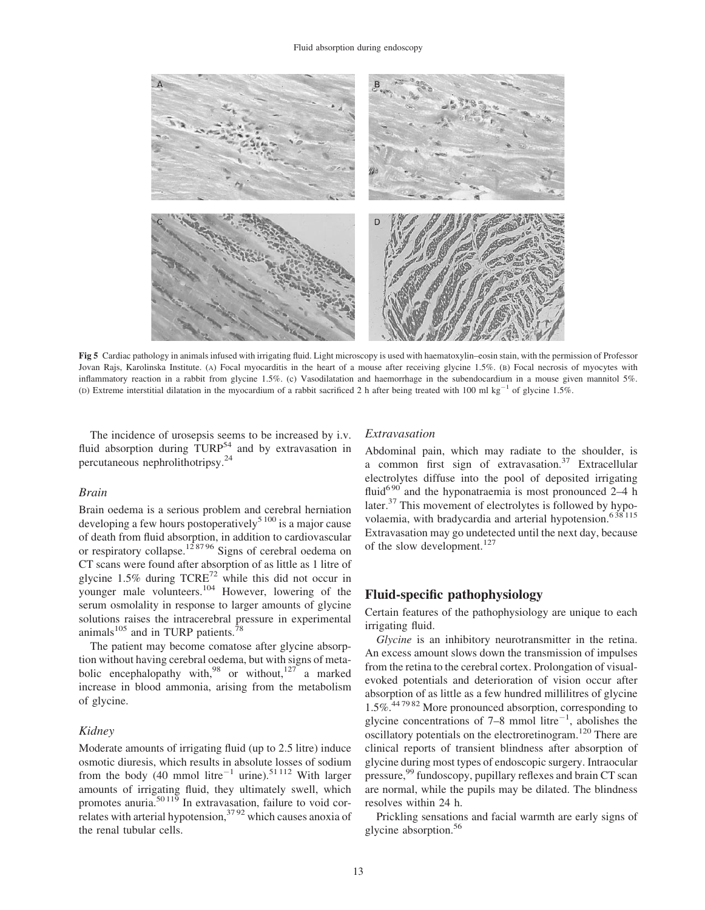

Fig 5 Cardiac pathology in animals infused with irrigating fluid. Light microscopy is used with haematoxylin–eosin stain, with the permission of Professor Jovan Rajs, Karolinska Institute. (A) Focal myocarditis in the heart of a mouse after receiving glycine 1.5%. (B) Focal necrosis of myocytes with inflammatory reaction in a rabbit from glycine 1.5%. (c) Vasodilatation and haemorrhage in the subendocardium in a mouse given mannitol 5%. (D) Extreme interstitial dilatation in the myocardium of a rabbit sacrificed 2 h after being treated with 100 ml  $\text{kg}^{-1}$  of glycine 1.5%.

The incidence of urosepsis seems to be increased by i.v. fluid absorption during TURP<sup>54</sup> and by extravasation in percutaneous nephrolithotripsy.<sup>24</sup>

## Brain

Brain oedema is a serious problem and cerebral herniation developing a few hours postoperatively<sup>5 100</sup> is a major cause of death from fluid absorption, in addition to cardiovascular or respiratory collapse.<sup>128796</sup> Signs of cerebral oedema on CT scans were found after absorption of as little as 1 litre of glycine  $1.5\%$  during TCRE<sup>72</sup> while this did not occur in younger male volunteers.<sup>104</sup> However, lowering of the serum osmolality in response to larger amounts of glycine solutions raises the intracerebral pressure in experimental animals $105$  and in TURP patients.<sup>78</sup>

The patient may become comatose after glycine absorption without having cerebral oedema, but with signs of metabolic encephalopathy with,<sup>98</sup> or without,<sup>127</sup> a marked increase in blood ammonia, arising from the metabolism of glycine.

### Kidney

Moderate amounts of irrigating fluid (up to 2.5 litre) induce osmotic diuresis, which results in absolute losses of sodium from the body (40 mmol litre<sup>-1</sup> urine).<sup>51 112</sup> With larger amounts of irrigating fluid, they ultimately swell, which promotes anuria.<sup>50 119</sup> In extravasation, failure to void correlates with arterial hypotension,  $3792$  which causes anoxia of the renal tubular cells.

#### Extravasation

Abdominal pain, which may radiate to the shoulder, is a common first sign of extravasation.<sup>37</sup> Extracellular electrolytes diffuse into the pool of deposited irrigating fluid<sup>6 90</sup> and the hyponatraemia is most pronounced 2–4 h later.<sup>37</sup> This movement of electrolytes is followed by hypovolaemia, with bradycardia and arterial hypotension.<sup>638115</sup> Extravasation may go undetected until the next day, because of the slow development.<sup>127</sup>

# Fluid-specific pathophysiology

Certain features of the pathophysiology are unique to each irrigating fluid.

Glycine is an inhibitory neurotransmitter in the retina. An excess amount slows down the transmission of impulses from the retina to the cerebral cortex. Prolongation of visualevoked potentials and deterioration of vision occur after absorption of as little as a few hundred millilitres of glycine 1.5%.44 79 82 More pronounced absorption, corresponding to glycine concentrations of  $7-8$  mmol litre<sup> $-1$ </sup>, abolishes the oscillatory potentials on the electroretinogram.<sup>120</sup> There are clinical reports of transient blindness after absorption of glycine during most types of endoscopic surgery. Intraocular pressure,<sup>99</sup> fundoscopy, pupillary reflexes and brain CT scan are normal, while the pupils may be dilated. The blindness resolves within 24 h.

Prickling sensations and facial warmth are early signs of glycine absorption.<sup>56</sup>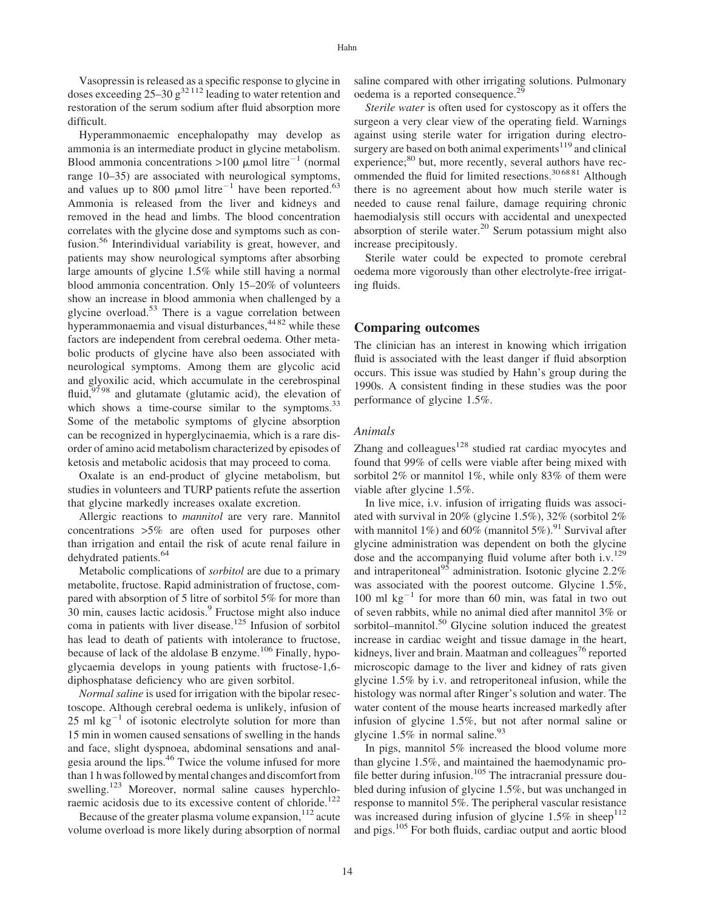Vasopressin is released as a specific response to glycine in doses exceeding  $25-30 g^{32\,112}$  leading to water retention and restoration of the serum sodium after fluid absorption more difficult.

Hyperammonaemic encephalopathy may develop as ammonia is an intermediate product in glycine metabolism. Blood ammonia concentrations >100  $\mu$ mol litre<sup>-1</sup> (normal range 10–35) are associated with neurological symptoms, and values up to 800  $\mu$ mol litre<sup>-1</sup> have been reported.<sup>63</sup> Ammonia is released from the liver and kidneys and removed in the head and limbs. The blood concentration correlates with the glycine dose and symptoms such as confusion.<sup>56</sup> Interindividual variability is great, however, and patients may show neurological symptoms after absorbing large amounts of glycine 1.5% while still having a normal blood ammonia concentration. Only 15–20% of volunteers show an increase in blood ammonia when challenged by a glycine overload.<sup>53</sup> There is a vague correlation between hyperammonaemia and visual disturbances,<sup>44 82</sup> while these factors are independent from cerebral oedema. Other metabolic products of glycine have also been associated with neurological symptoms. Among them are glycolic acid and glyoxilic acid, which accumulate in the cerebrospinal fluid, $9798$  and glutamate (glutamic acid), the elevation of which shows a time-course similar to the symptoms. $33$ Some of the metabolic symptoms of glycine absorption can be recognized in hyperglycinaemia, which is a rare disorder of amino acid metabolism characterized by episodes of ketosis and metabolic acidosis that may proceed to coma.

Oxalate is an end-product of glycine metabolism, but studies in volunteers and TURP patients refute the assertion that glycine markedly increases oxalate excretion.

Allergic reactions to mannitol are very rare. Mannitol concentrations >5% are often used for purposes other than irrigation and entail the risk of acute renal failure in dehydrated patients.<sup>64</sup>

Metabolic complications of sorbitol are due to a primary metabolite, fructose. Rapid administration of fructose, compared with absorption of 5 litre of sorbitol 5% for more than 30 min, causes lactic acidosis.<sup>9</sup> Fructose might also induce coma in patients with liver disease.<sup>125</sup> Infusion of sorbitol has lead to death of patients with intolerance to fructose, because of lack of the aldolase B enzyme.<sup>106</sup> Finally, hypoglycaemia develops in young patients with fructose-1,6 diphosphatase deficiency who are given sorbitol.

Normal saline is used for irrigation with the bipolar resectoscope. Although cerebral oedema is unlikely, infusion of 25 ml  $kg^{-1}$  of isotonic electrolyte solution for more than 15 min in women caused sensations of swelling in the hands and face, slight dyspnoea, abdominal sensations and analgesia around the lips.<sup>46</sup> Twice the volume infused for more than 1 h was followed by mental changes and discomfort from swelling.<sup>123</sup> Moreover, normal saline causes hyperchloraemic acidosis due to its excessive content of chloride.<sup>122</sup>

Because of the greater plasma volume expansion, $112$  acute volume overload is more likely during absorption of normal saline compared with other irrigating solutions. Pulmonary oedema is a reported consequence.<sup>29</sup>

Sterile water is often used for cystoscopy as it offers the surgeon a very clear view of the operating field. Warnings against using sterile water for irrigation during electrosurgery are based on both animal experiments $119$  and clinical experience; $80$  but, more recently, several authors have recommended the fluid for limited resections.<sup>306881</sup> Although there is no agreement about how much sterile water is needed to cause renal failure, damage requiring chronic haemodialysis still occurs with accidental and unexpected absorption of sterile water.<sup>20</sup> Serum potassium might also increase precipitously.

Sterile water could be expected to promote cerebral oedema more vigorously than other electrolyte-free irrigating fluids.

## Comparing outcomes

The clinician has an interest in knowing which irrigation fluid is associated with the least danger if fluid absorption occurs. This issue was studied by Hahn's group during the 1990s. A consistent finding in these studies was the poor performance of glycine 1.5%.

#### Animals

Zhang and colleagues $128$  studied rat cardiac myocytes and found that 99% of cells were viable after being mixed with sorbitol 2% or mannitol 1%, while only 83% of them were viable after glycine 1.5%.

In live mice, i.v. infusion of irrigating fluids was associated with survival in 20% (glycine 1.5%), 32% (sorbitol 2% with mannitol 1%) and 60% (mannitol 5%).<sup>91</sup> Survival after glycine administration was dependent on both the glycine dose and the accompanying fluid volume after both i.v.<sup>129</sup> and intraperitoneal<sup>95</sup> administration. Isotonic glycine  $2.2\%$ was associated with the poorest outcome. Glycine 1.5%, 100 ml  $kg^{-1}$  for more than 60 min, was fatal in two out of seven rabbits, while no animal died after mannitol 3% or sorbitol–mannitol.<sup>50</sup> Glycine solution induced the greatest increase in cardiac weight and tissue damage in the heart, kidneys, liver and brain. Maatman and colleagues<sup>76</sup> reported microscopic damage to the liver and kidney of rats given glycine 1.5% by i.v. and retroperitoneal infusion, while the histology was normal after Ringer's solution and water. The water content of the mouse hearts increased markedly after infusion of glycine 1.5%, but not after normal saline or glycine  $1.5\%$  in normal saline.<sup>93</sup>

In pigs, mannitol 5% increased the blood volume more than glycine 1.5%, and maintained the haemodynamic profile better during infusion.<sup>105</sup> The intracranial pressure doubled during infusion of glycine 1.5%, but was unchanged in response to mannitol 5%. The peripheral vascular resistance was increased during infusion of glycine  $1.5\%$  in sheep<sup>112</sup> and pigs.<sup>105</sup> For both fluids, cardiac output and aortic blood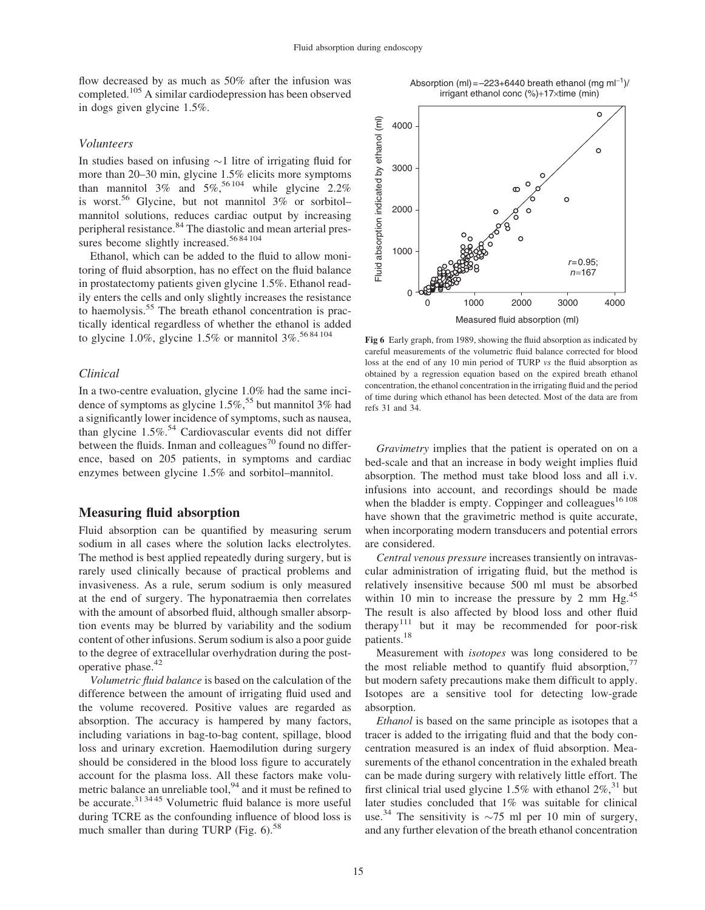flow decreased by as much as 50% after the infusion was completed.<sup>105</sup> A similar cardiodepression has been observed in dogs given glycine 1.5%.

## Volunteers

In studies based on infusing  $\sim$ 1 litre of irrigating fluid for more than 20–30 min, glycine 1.5% elicits more symptoms than mannitol  $3\%$  and  $5\%,$ <sup>56 104</sup> while glycine 2.2% is worst.<sup>56</sup> Glycine, but not mannitol  $3\%$  or sorbitolmannitol solutions, reduces cardiac output by increasing peripheral resistance.<sup>84</sup> The diastolic and mean arterial pressures become slightly increased.<sup>56 84 104</sup>

Ethanol, which can be added to the fluid to allow monitoring of fluid absorption, has no effect on the fluid balance in prostatectomy patients given glycine 1.5%. Ethanol readily enters the cells and only slightly increases the resistance to haemolysis.<sup>55</sup> The breath ethanol concentration is practically identical regardless of whether the ethanol is added to glycine 1.0%, glycine 1.5% or mannitol  $3\%$ .<sup>5684 104</sup>

## Clinical

In a two-centre evaluation, glycine 1.0% had the same incidence of symptoms as glycine  $1.5\%$ ,<sup>55</sup> but mannitol 3% had a significantly lower incidence of symptoms, such as nausea, than glycine  $1.5\%$ .<sup>54</sup> Cardiovascular events did not differ between the fluids. Inman and colleagues<sup>70</sup> found no difference, based on 205 patients, in symptoms and cardiac enzymes between glycine 1.5% and sorbitol–mannitol.

## Measuring fluid absorption

Fluid absorption can be quantified by measuring serum sodium in all cases where the solution lacks electrolytes. The method is best applied repeatedly during surgery, but is rarely used clinically because of practical problems and invasiveness. As a rule, serum sodium is only measured at the end of surgery. The hyponatraemia then correlates with the amount of absorbed fluid, although smaller absorption events may be blurred by variability and the sodium content of other infusions. Serum sodium is also a poor guide to the degree of extracellular overhydration during the postoperative phase.<sup>42</sup>

Volumetric fluid balance is based on the calculation of the difference between the amount of irrigating fluid used and the volume recovered. Positive values are regarded as absorption. The accuracy is hampered by many factors, including variations in bag-to-bag content, spillage, blood loss and urinary excretion. Haemodilution during surgery should be considered in the blood loss figure to accurately account for the plasma loss. All these factors make volumetric balance an unreliable tool,<sup>94</sup> and it must be refined to be accurate.<sup>31 34 45</sup> Volumetric fluid balance is more useful during TCRE as the confounding influence of blood loss is much smaller than during TURP (Fig.  $6$ ).<sup>58</sup>



Absorption (ml)=–223+6440 breath ethanol (mg ml<sup>-1</sup>)/

Fig 6 Early graph, from 1989, showing the fluid absorption as indicated by careful measurements of the volumetric fluid balance corrected for blood loss at the end of any 10 min period of TURP vs the fluid absorption as obtained by a regression equation based on the expired breath ethanol concentration, the ethanol concentration in the irrigating fluid and the period of time during which ethanol has been detected. Most of the data are from refs 31 and 34.

Gravimetry implies that the patient is operated on on a bed-scale and that an increase in body weight implies fluid absorption. The method must take blood loss and all i.v. infusions into account, and recordings should be made when the bladder is empty. Coppinger and colleagues<sup>16 108</sup> have shown that the gravimetric method is quite accurate, when incorporating modern transducers and potential errors are considered.

Central venous pressure increases transiently on intravascular administration of irrigating fluid, but the method is relatively insensitive because 500 ml must be absorbed within 10 min to increase the pressure by 2 mm  $Hg<sup>45</sup>$ The result is also affected by blood loss and other fluid therapy<sup>111</sup> but it may be recommended for poor-risk patients.18

Measurement with isotopes was long considered to be the most reliable method to quantify fluid absorption,  $77$ but modern safety precautions make them difficult to apply. Isotopes are a sensitive tool for detecting low-grade absorption.

Ethanol is based on the same principle as isotopes that a tracer is added to the irrigating fluid and that the body concentration measured is an index of fluid absorption. Measurements of the ethanol concentration in the exhaled breath can be made during surgery with relatively little effort. The first clinical trial used glycine 1.5% with ethanol  $2\%,^{31}$  but later studies concluded that 1% was suitable for clinical use.<sup>34</sup> The sensitivity is  $\sim$ 75 ml per 10 min of surgery, and any further elevation of the breath ethanol concentration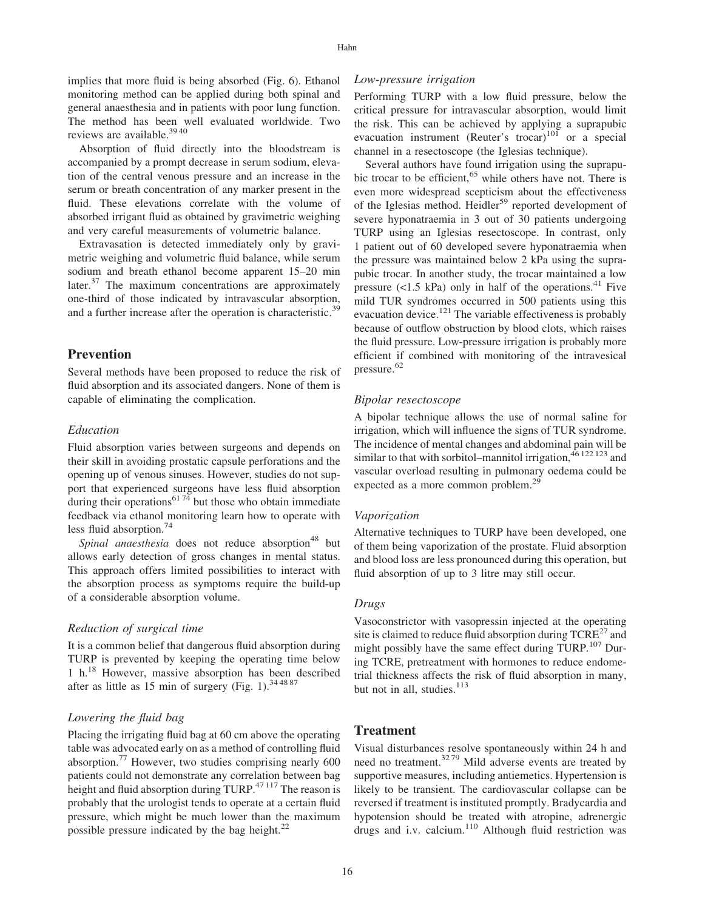implies that more fluid is being absorbed (Fig. 6). Ethanol monitoring method can be applied during both spinal and general anaesthesia and in patients with poor lung function. The method has been well evaluated worldwide. Two reviews are available.<sup>3940</sup>

Absorption of fluid directly into the bloodstream is accompanied by a prompt decrease in serum sodium, elevation of the central venous pressure and an increase in the serum or breath concentration of any marker present in the fluid. These elevations correlate with the volume of absorbed irrigant fluid as obtained by gravimetric weighing and very careful measurements of volumetric balance.

Extravasation is detected immediately only by gravimetric weighing and volumetric fluid balance, while serum sodium and breath ethanol become apparent 15–20 min later.<sup>37</sup> The maximum concentrations are approximately one-third of those indicated by intravascular absorption, and a further increase after the operation is characteristic.<sup>39</sup>

## Prevention

Several methods have been proposed to reduce the risk of fluid absorption and its associated dangers. None of them is capable of eliminating the complication.

#### Education

Fluid absorption varies between surgeons and depends on their skill in avoiding prostatic capsule perforations and the opening up of venous sinuses. However, studies do not support that experienced surgeons have less fluid absorption during their operations<sup>6174</sup> but those who obtain immediate feedback via ethanol monitoring learn how to operate with less fluid absorption. $74$ 

Spinal anaesthesia does not reduce absorption<sup>48</sup> but allows early detection of gross changes in mental status. This approach offers limited possibilities to interact with the absorption process as symptoms require the build-up of a considerable absorption volume.

#### Reduction of surgical time

It is a common belief that dangerous fluid absorption during TURP is prevented by keeping the operating time below 1 h.<sup>18</sup> However, massive absorption has been described after as little as 15 min of surgery (Fig. 1).<sup>3448 87</sup>

#### Lowering the fluid bag

Placing the irrigating fluid bag at 60 cm above the operating table was advocated early on as a method of controlling fluid absorption.<sup>77</sup> However, two studies comprising nearly  $600$ patients could not demonstrate any correlation between bag height and fluid absorption during TURP.<sup>47 117</sup> The reason is probably that the urologist tends to operate at a certain fluid pressure, which might be much lower than the maximum possible pressure indicated by the bag height. $^{22}$ 

#### Low-pressure irrigation

Performing TURP with a low fluid pressure, below the critical pressure for intravascular absorption, would limit the risk. This can be achieved by applying a suprapubic evacuation instrument (Reuter's trocar)<sup>101</sup> or a special channel in a resectoscope (the Iglesias technique).

Several authors have found irrigation using the suprapubic trocar to be efficient,<sup>65</sup> while others have not. There is even more widespread scepticism about the effectiveness of the Iglesias method. Heidler<sup>59</sup> reported development of severe hyponatraemia in 3 out of 30 patients undergoing TURP using an Iglesias resectoscope. In contrast, only 1 patient out of 60 developed severe hyponatraemia when the pressure was maintained below 2 kPa using the suprapubic trocar. In another study, the trocar maintained a low pressure  $(<1.5$  kPa) only in half of the operations.<sup>41</sup> Five mild TUR syndromes occurred in 500 patients using this evacuation device.<sup>121</sup> The variable effectiveness is probably because of outflow obstruction by blood clots, which raises the fluid pressure. Low-pressure irrigation is probably more efficient if combined with monitoring of the intravesical pressure.<sup>62</sup>

#### Bipolar resectoscope

A bipolar technique allows the use of normal saline for irrigation, which will influence the signs of TUR syndrome. The incidence of mental changes and abdominal pain will be similar to that with sorbitol–mannitol irrigation, $46$  122 123 and vascular overload resulting in pulmonary oedema could be expected as a more common problem.<sup>29</sup>

#### Vaporization

Alternative techniques to TURP have been developed, one of them being vaporization of the prostate. Fluid absorption and blood loss are less pronounced during this operation, but fluid absorption of up to 3 litre may still occur.

#### Drugs

Vasoconstrictor with vasopressin injected at the operating site is claimed to reduce fluid absorption during TCRE<sup>27</sup> and might possibly have the same effect during TURP.<sup>107</sup> During TCRE, pretreatment with hormones to reduce endometrial thickness affects the risk of fluid absorption in many, but not in all, studies. $113$ 

#### Treatment

Visual disturbances resolve spontaneously within 24 h and need no treatment.32 79 Mild adverse events are treated by supportive measures, including antiemetics. Hypertension is likely to be transient. The cardiovascular collapse can be reversed if treatment is instituted promptly. Bradycardia and hypotension should be treated with atropine, adrenergic drugs and i.v. calcium.<sup>110</sup> Although fluid restriction was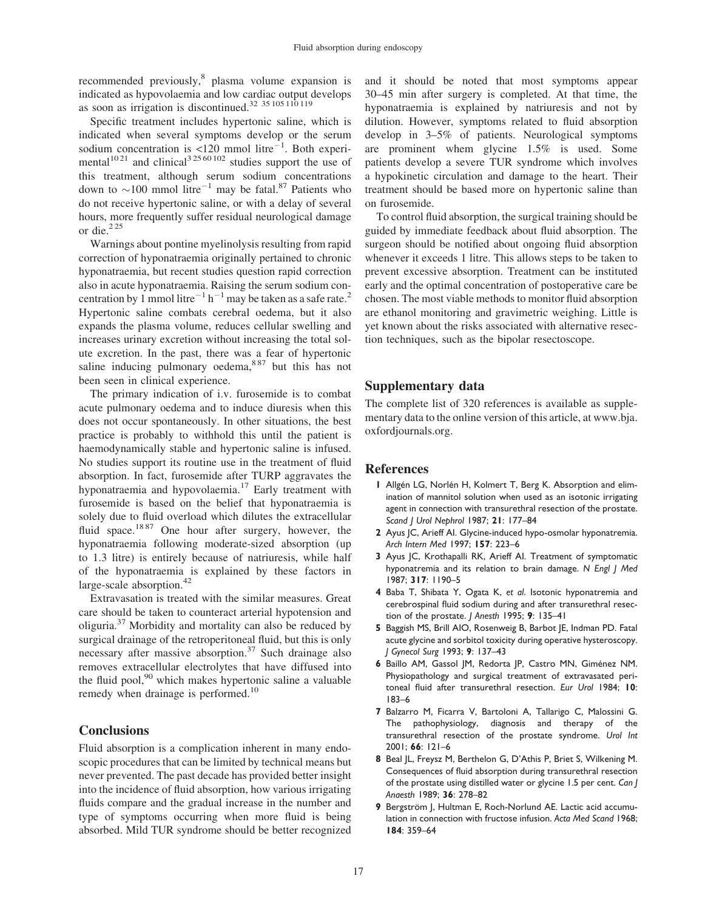recommended previously,<sup>8</sup> plasma volume expansion is indicated as hypovolaemia and low cardiac output develops as soon as irrigation is discontinued.<sup>32</sup>  $35 105 110 119$ 

Specific treatment includes hypertonic saline, which is indicated when several symptoms develop or the serum sodium concentration is  $\langle 120 \text{ mmol litre}^{-1} \rangle$ . Both experimental<sup>1021</sup> and clinical<sup>32560102</sup> studies support the use of this treatment, although serum sodium concentrations down to  $\sim$ 100 mmol litre<sup>-1</sup> may be fatal.<sup>87</sup> Patients who do not receive hypertonic saline, or with a delay of several hours, more frequently suffer residual neurological damage or die.<sup>225</sup>

Warnings about pontine myelinolysis resulting from rapid correction of hyponatraemia originally pertained to chronic hyponatraemia, but recent studies question rapid correction also in acute hyponatraemia. Raising the serum sodium concentration by 1 mmol litre<sup>-1</sup> h<sup>-1</sup> may be taken as a safe rate.<sup>2</sup> Hypertonic saline combats cerebral oedema, but it also expands the plasma volume, reduces cellular swelling and increases urinary excretion without increasing the total solute excretion. In the past, there was a fear of hypertonic saline inducing pulmonary oedema,<sup>887</sup> but this has not been seen in clinical experience.

The primary indication of i.v. furosemide is to combat acute pulmonary oedema and to induce diuresis when this does not occur spontaneously. In other situations, the best practice is probably to withhold this until the patient is haemodynamically stable and hypertonic saline is infused. No studies support its routine use in the treatment of fluid absorption. In fact, furosemide after TURP aggravates the hyponatraemia and hypovolaemia.<sup>17</sup> Early treatment with furosemide is based on the belief that hyponatraemia is solely due to fluid overload which dilutes the extracellular fluid space.<sup>1887</sup> One hour after surgery, however, the hyponatraemia following moderate-sized absorption (up to 1.3 litre) is entirely because of natriuresis, while half of the hyponatraemia is explained by these factors in large-scale absorption.<sup>42</sup>

Extravasation is treated with the similar measures. Great care should be taken to counteract arterial hypotension and oliguria.<sup>37</sup> Morbidity and mortality can also be reduced by surgical drainage of the retroperitoneal fluid, but this is only necessary after massive absorption. $37$  Such drainage also removes extracellular electrolytes that have diffused into the fluid pool,<sup>90</sup> which makes hypertonic saline a valuable remedy when drainage is performed.<sup>10</sup>

# **Conclusions**

Fluid absorption is a complication inherent in many endoscopic procedures that can be limited by technical means but never prevented. The past decade has provided better insight into the incidence of fluid absorption, how various irrigating fluids compare and the gradual increase in the number and type of symptoms occurring when more fluid is being absorbed. Mild TUR syndrome should be better recognized and it should be noted that most symptoms appear 30–45 min after surgery is completed. At that time, the hyponatraemia is explained by natriuresis and not by dilution. However, symptoms related to fluid absorption develop in 3–5% of patients. Neurological symptoms are prominent whem glycine 1.5% is used. Some patients develop a severe TUR syndrome which involves a hypokinetic circulation and damage to the heart. Their treatment should be based more on hypertonic saline than on furosemide.

To control fluid absorption, the surgical training should be guided by immediate feedback about fluid absorption. The surgeon should be notified about ongoing fluid absorption whenever it exceeds 1 litre. This allows steps to be taken to prevent excessive absorption. Treatment can be instituted early and the optimal concentration of postoperative care be chosen. The most viable methods to monitor fluid absorption are ethanol monitoring and gravimetric weighing. Little is yet known about the risks associated with alternative resection techniques, such as the bipolar resectoscope.

## Supplementary data

The complete list of 320 references is available as supplementary data to the online version of this article, at www.bja. oxfordjournals.org.

## References

- 1 Allgén LG, Norlén H, Kolmert T, Berg K. Absorption and elimination of mannitol solution when used as an isotonic irrigating agent in connection with transurethral resection of the prostate. Scand J Urol Nephrol 1987; 21: 177–84
- 2 Ayus JC, Arieff AI. Glycine-induced hypo-osmolar hyponatremia. Arch Intern Med 1997; 157: 223–6
- 3 Ayus JC, Krothapalli RK, Arieff AI. Treatment of symptomatic hyponatremia and its relation to brain damage. N Engl J Med 1987; 317: 1190–5
- 4 Baba T, Shibata Y, Ogata K, et al. Isotonic hyponatremia and cerebrospinal fluid sodium during and after transurethral resection of the prostate. *| Anesth* 1995; 9: 135-41
- 5 Baggish MS, Brill AIO, Rosenweig B, Barbot JE, Indman PD. Fatal acute glycine and sorbitol toxicity during operative hysteroscopy. J Gynecol Surg 1993; 9: 137–43
- 6 Baillo AM, Gassol JM, Redorta JP, Castro MN, Giménez NM. Physiopathology and surgical treatment of extravasated peritoneal fluid after transurethral resection. Eur Urol 1984; 10: 183–6
- 7 Balzarro M, Ficarra V, Bartoloni A, Tallarigo C, Malossini G. The pathophysiology, diagnosis and therapy of the transurethral resection of the prostate syndrome. Urol Int  $2001 \cdot 66 \cdot 121 - 6$
- 8 Beal JL, Freysz M, Berthelon G, D'Athis P, Briet S, Wilkening M. Consequences of fluid absorption during transurethral resection of the prostate using distilled water or glycine 1.5 per cent. Can J Anaesth 1989; 36: 278–82
- 9 Bergström J, Hultman E, Roch-Norlund AE. Lactic acid accumulation in connection with fructose infusion. Acta Med Scand 1968; 184: 359–64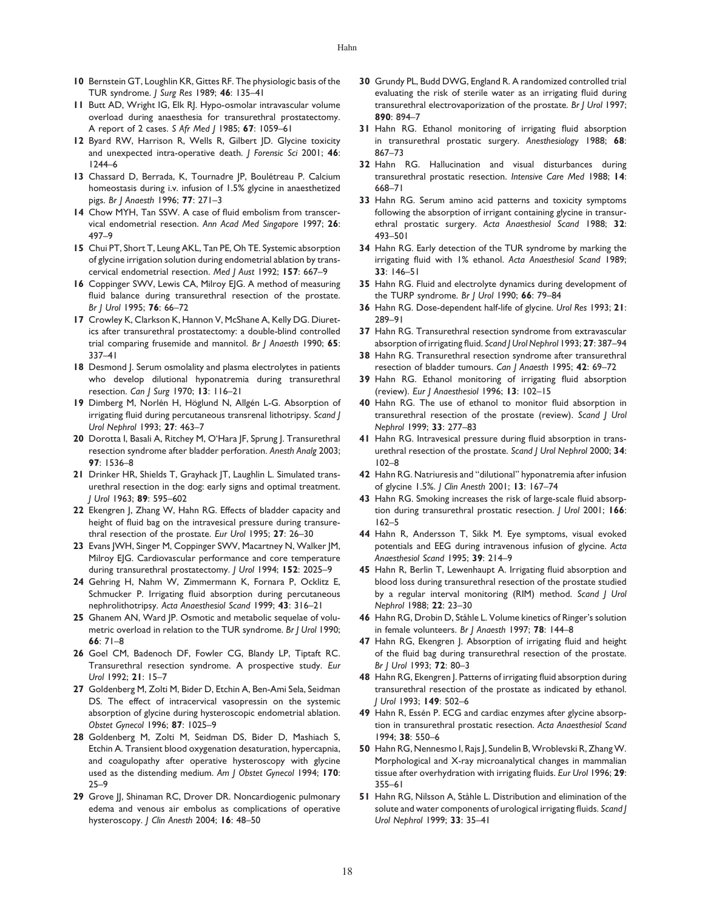- 10 Bernstein GT, Loughlin KR, Gittes RF. The physiologic basis of the TUR syndrome. J Surg Res 1989; 46: 135–41
- 11 Butt AD, Wright IG, Elk RJ. Hypo-osmolar intravascular volume overload during anaesthesia for transurethral prostatectomy. A report of 2 cases. S Afr Med J 1985; 67: 1059–61
- 12 Byard RW, Harrison R, Wells R, Gilbert JD. Glycine toxicity and unexpected intra-operative death. J Forensic Sci 2001; 46: 1244–6
- 13 Chassard D, Berrada, K, Tournadre IP, Boulétreau P, Calcium homeostasis during i.v. infusion of 1.5% glycine in anaesthetized pigs. Br J Anaesth 1996; 77: 271–3
- 14 Chow MYH, Tan SSW. A case of fluid embolism from transcervical endometrial resection. Ann Acad Med Singapore 1997; 26: 497–9
- 15 Chui PT, Short T, Leung AKL, Tan PE, Oh TE. Systemic absorption of glycine irrigation solution during endometrial ablation by transcervical endometrial resection. Med J Aust 1992; 157: 667-9
- 16 Coppinger SWV, Lewis CA, Milroy EJG. A method of measuring fluid balance during transurethral resection of the prostate. Br J Urol 1995; 76: 66–72
- 17 Crowley K, Clarkson K, Hannon V, McShane A, Kelly DG. Diuretics after transurethral prostatectomy: a double-blind controlled trial comparing frusemide and mannitol. Br J Anaesth 1990; 65: 337–41
- 18 Desmond J. Serum osmolality and plasma electrolytes in patients who develop dilutional hyponatremia during transurethral resection. Can J Surg 1970; 13: 116–21
- 19 Dimberg M, Norlén H, Höglund N, Allgén L-G. Absorption of irrigating fluid during percutaneous transrenal lithotripsy. Scand J Urol Nephrol 1993; 27: 463–7
- 20 Dorotta I, Basali A, Ritchey M, O'Hara JF, Sprung J. Transurethral resection syndrome after bladder perforation. Anesth Analg 2003; 97: 1536–8
- 21 Drinker HR, Shields T, Grayhack JT, Laughlin L. Simulated transurethral resection in the dog: early signs and optimal treatment. J Urol 1963; 89: 595–602
- 22 Ekengren J, Zhang W, Hahn RG. Effects of bladder capacity and height of fluid bag on the intravesical pressure during transurethral resection of the prostate. Eur Urol 1995; 27: 26–30
- 23 Evans JWH, Singer M, Coppinger SWV, Macartney N, Walker JM, Milroy EJG. Cardiovascular performance and core temperature during transurethral prostatectomy. | Urol 1994; 152: 2025-9
- 24 Gehring H, Nahm W, Zimmermann K, Fornara P, Ocklitz E, Schmucker P. Irrigating fluid absorption during percutaneous nephrolithotripsy. Acta Anaesthesiol Scand 1999; 43: 316–21
- 25 Ghanem AN, Ward JP. Osmotic and metabolic sequelae of volumetric overload in relation to the TUR syndrome. Br J Urol 1990; 66: 71–8
- 26 Goel CM, Badenoch DF, Fowler CG, Blandy LP, Tiptaft RC. Transurethral resection syndrome. A prospective study. Eur Urol 1992; 21: 15–7
- 27 Goldenberg M, Zolti M, Bider D, Etchin A, Ben-Ami Sela, Seidman DS. The effect of intracervical vasopressin on the systemic absorption of glycine during hysteroscopic endometrial ablation. Obstet Gynecol 1996; 87: 1025–9
- 28 Goldenberg M, Zolti M, Seidman DS, Bider D, Mashiach S, Etchin A. Transient blood oxygenation desaturation, hypercapnia, and coagulopathy after operative hysteroscopy with glycine used as the distending medium. Am J Obstet Gynecol 1994; 170: 25–9
- 29 Grove JJ, Shinaman RC, Drover DR. Noncardiogenic pulmonary edema and venous air embolus as complications of operative hysteroscopy. J Clin Anesth 2004; 16: 48–50
- 30 Grundy PL, Budd DWG, England R. A randomized controlled trial evaluating the risk of sterile water as an irrigating fluid during transurethral electrovaporization of the prostate. Br J Urol 1997; 890: 894–7
- 31 Hahn RG. Ethanol monitoring of irrigating fluid absorption in transurethral prostatic surgery. Anesthesiology 1988; 68: 867–73
- 32 Hahn RG. Hallucination and visual disturbances during transurethral prostatic resection. Intensive Care Med 1988; 14: 668–71
- 33 Hahn RG. Serum amino acid patterns and toxicity symptoms following the absorption of irrigant containing glycine in transurethral prostatic surgery. Acta Anaesthesiol Scand 1988; 32: 493–501
- 34 Hahn RG. Early detection of the TUR syndrome by marking the irrigating fluid with 1% ethanol. Acta Anaesthesiol Scand 1989; 33: 146–51
- 35 Hahn RG. Fluid and electrolyte dynamics during development of the TURP syndrome. Br J Urol 1990; 66: 79–84
- 36 Hahn RG. Dose-dependent half-life of glycine. Urol Res 1993; 21: 289–91
- 37 Hahn RG. Transurethral resection syndrome from extravascular absorption of irrigating fluid. Scand J Urol Nephrol 1993; 27: 387-94
- 38 Hahn RG. Transurethral resection syndrome after transurethral resection of bladder tumours. Can J Anaesth 1995; 42: 69–72
- 39 Hahn RG. Ethanol monitoring of irrigating fluid absorption (review). Eur J Anaesthesiol 1996; 13: 102–15
- 40 Hahn RG. The use of ethanol to monitor fluid absorption in transurethral resection of the prostate (review). Scand J Urol Nephrol 1999; 33: 277–83
- 41 Hahn RG. Intravesical pressure during fluid absorption in transurethral resection of the prostate. Scand J Urol Nephrol 2000; 34: 102–8
- 42 Hahn RG. Natriuresis and ''dilutional'' hyponatremia after infusion of glycine 1.5%. J Clin Anesth 2001; 13: 167–74
- 43 Hahn RG. Smoking increases the risk of large-scale fluid absorption during transurethral prostatic resection. | Urol 2001; 166: 162–5
- 44 Hahn R, Andersson T, Sikk M. Eye symptoms, visual evoked potentials and EEG during intravenous infusion of glycine. Acta Anaesthesiol Scand 1995; 39: 214–9
- 45 Hahn R, Berlin T, Lewenhaupt A. Irrigating fluid absorption and blood loss during transurethral resection of the prostate studied by a regular interval monitoring (RIM) method. Scand J Urol Nephrol 1988; 22: 23–30
- 46 Hahn RG, Drobin D, Ståhle L. Volume kinetics of Ringer's solution in female volunteers. Br J Anaesth 1997; 78: 144-8
- 47 Hahn RG, Ekengren J. Absorption of irrigating fluid and height of the fluid bag during transurethral resection of the prostate. Br J Urol 1993; 72: 80–3
- 48 Hahn RG, Ekengren J. Patterns of irrigating fluid absorption during transurethral resection of the prostate as indicated by ethanol. J Urol 1993; 149: 502–6
- 49 Hahn R, Essén P. ECG and cardiac enzymes after glycine absorption in transurethral prostatic resection. Acta Anaesthesiol Scand 1994; 38: 550–6
- 50 Hahn RG, Nennesmo I, Rajs J, Sundelin B, Wroblevski R, Zhang W. Morphological and X-ray microanalytical changes in mammalian tissue after overhydration with irrigating fluids. Eur Urol 1996; 29: 355–61
- 51 Hahn RG, Nilsson A, Ståhle L. Distribution and elimination of the solute and water components of urological irrigating fluids. Scand J Urol Nephrol 1999; 33: 35–41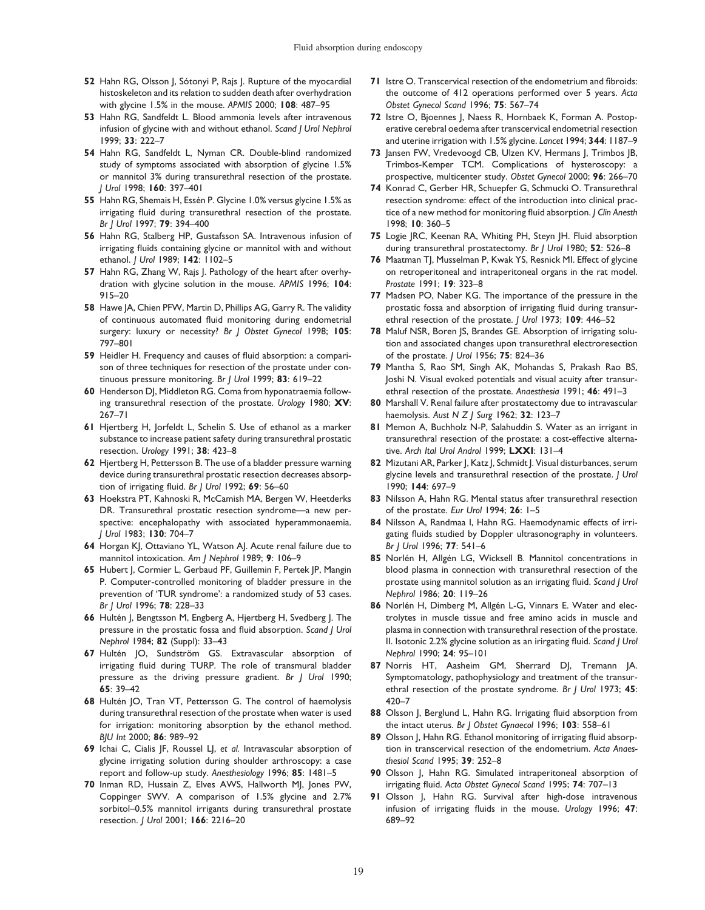- 52 Hahn RG, Olsson J, Sótonyi P, Rajs J. Rupture of the myocardial histoskeleton and its relation to sudden death after overhydration with glycine 1.5% in the mouse. APMIS 2000; 108: 487–95
- 53 Hahn RG, Sandfeldt L. Blood ammonia levels after intravenous infusion of glycine with and without ethanol. Scand J Urol Nephrol 1999; 33: 222–7
- 54 Hahn RG, Sandfeldt L, Nyman CR. Double-blind randomized study of symptoms associated with absorption of glycine 1.5% or mannitol 3% during transurethral resection of the prostate. J Urol 1998; 160: 397–401
- 55 Hahn RG, Shemais H, Essén P. Glycine 1.0% versus glycine 1.5% as irrigating fluid during transurethral resection of the prostate. Br J Urol 1997; 79: 394–400
- 56 Hahn RG, Stalberg HP, Gustafsson SA. Intravenous infusion of irrigating fluids containing glycine or mannitol with and without ethanol. J Urol 1989; 142: 1102–5
- 57 Hahn RG, Zhang W, Rajs J. Pathology of the heart after overhydration with glycine solution in the mouse. APMIS 1996; 104: 915–20
- 58 Hawe JA, Chien PFW, Martin D, Phillips AG, Garry R. The validity of continuous automated fluid monitoring during endometrial surgery: luxury or necessity? Br J Obstet Gynecol 1998; 105: 797–801
- 59 Heidler H. Frequency and causes of fluid absorption: a comparison of three techniques for resection of the prostate under continuous pressure monitoring. Br J Urol 1999; 83: 619–22
- 60 Henderson DJ, Middleton RG. Coma from hyponatraemia following transurethral resection of the prostate. Urology 1980; XV: 267–71
- 61 Hiertberg H, Jorfeldt L, Schelin S, Use of ethanol as a marker substance to increase patient safety during transurethral prostatic resection. Urology 1991; 38: 423–8
- 62 Hjertberg H, Pettersson B. The use of a bladder pressure warning device during transurethral prostatic resection decreases absorption of irrigating fluid. Br | Urol 1992; 69: 56-60
- 63 Hoekstra PT, Kahnoski R, McCamish MA, Bergen W, Heetderks DR. Transurethral prostatic resection syndrome—a new perspective: encephalopathy with associated hyperammonaemia. J Urol 1983; 130: 704–7
- 64 Horgan KJ, Ottaviano YL, Watson AJ. Acute renal failure due to mannitol intoxication. Am | Nephrol 1989; 9: 106-9
- 65 Hubert J, Cormier L, Gerbaud PF, Guillemin F, Pertek JP, Mangin P. Computer-controlled monitoring of bladder pressure in the prevention of 'TUR syndrome': a randomized study of 53 cases. Br J Urol 1996; 78: 228–33
- 66 Hultén J, Bengtsson M, Engberg A, Hjertberg H, Svedberg J. The pressure in the prostatic fossa and fluid absorption. Scand J Urol Nephrol 1984; 82 (Suppl): 33–43
- 67 Hultén JO, Sundström GS. Extravascular absorption of irrigating fluid during TURP. The role of transmural bladder pressure as the driving pressure gradient. Br J Urol 1990; 65: 39–42
- 68 Hultén JO, Tran VT, Pettersson G. The control of haemolysis during transurethral resection of the prostate when water is used for irrigation: monitoring absorption by the ethanol method. BJU Int 2000; 86: 989–92
- 69 Ichai C, Cialis JF, Roussel LJ, et al. Intravascular absorption of glycine irrigating solution during shoulder arthroscopy: a case report and follow-up study. Anesthesiology 1996; 85: 1481–5
- 70 Inman RD, Hussain Z, Elves AWS, Hallworth MJ, Jones PW, Coppinger SWV. A comparison of 1.5% glycine and 2.7% sorbitol–0.5% mannitol irrigants during transurethral prostate resection. J Urol 2001; 166: 2216–20
- 71 Istre O. Transcervical resection of the endometrium and fibroids: the outcome of 412 operations performed over 5 years. Acta Obstet Gynecol Scand 1996; 75: 567–74
- 72 Istre O, Bioennes J, Naess R, Hornbaek K, Forman A. Postoperative cerebral oedema after transcervical endometrial resection and uterine irrigation with 1.5% glycine. Lancet 1994; 344: 1187–9
- 73 Jansen FW, Vredevoogd CB, Ulzen KV, Hermans J, Trimbos JB, Trimbos-Kemper TCM. Complications of hysteroscopy: a prospective, multicenter study. Obstet Gynecol 2000; 96: 266–70
- 74 Konrad C, Gerber HR, Schuepfer G, Schmucki O. Transurethral resection syndrome: effect of the introduction into clinical practice of a new method for monitoring fluid absorption. J Clin Anesth 1998; 10: 360–5
- 75 Logie JRC, Keenan RA, Whiting PH, Steyn JH. Fluid absorption during transurethral prostatectomy. Br | Urol 1980; 52: 526-8
- 76 Maatman TJ, Musselman P, Kwak YS, Resnick MI. Effect of glycine on retroperitoneal and intraperitoneal organs in the rat model. Prostate 1991; 19: 323–8
- 77 Madsen PO, Naber KG. The importance of the pressure in the prostatic fossa and absorption of irrigating fluid during transurethral resection of the prostate. J Urol 1973; 109: 446-52
- 78 Maluf NSR, Boren JS, Brandes GE. Absorption of irrigating solution and associated changes upon transurethral electroresection of the prostate. J Urol 1956; 75: 824–36
- 79 Mantha S, Rao SM, Singh AK, Mohandas S, Prakash Rao BS, Joshi N. Visual evoked potentials and visual acuity after transurethral resection of the prostate. Anaesthesia 1991; 46: 491–3
- 80 Marshall V. Renal failure after prostatectomy due to intravascular haemolysis. Aust N Z | Surg 1962; 32: 123-7
- 81 Memon A, Buchholz N-P, Salahuddin S. Water as an irrigant in transurethral resection of the prostate: a cost-effective alternative. Arch Ital Urol Androl 1999; LXXI: 131-4
- 82 Mizutani AR, Parker J, Katz J, Schmidt J. Visual disturbances, serum glycine levels and transurethral resection of the prostate. *| Urol* 1990; 144: 697–9
- 83 Nilsson A, Hahn RG. Mental status after transurethral resection of the prostate. Eur Urol 1994; 26: 1–5
- 84 Nilsson A, Randmaa I, Hahn RG. Haemodynamic effects of irrigating fluids studied by Doppler ultrasonography in volunteers. Br J Urol 1996; 77: 541–6
- 85 Norlén H, Allgén LG, Wicksell B. Mannitol concentrations in blood plasma in connection with transurethral resection of the prostate using mannitol solution as an irrigating fluid. Scand | Urol Nephrol 1986; 20: 119–26
- 86 Norlén H, Dimberg M, Allgén L-G, Vinnars E. Water and electrolytes in muscle tissue and free amino acids in muscle and plasma in connection with transurethral resection of the prostate. II. Isotonic 2.2% glycine solution as an irirgating fluid. Scand J Urol Nephrol 1990; 24: 95–101
- 87 Norris HT, Aasheim GM, Sherrard DJ, Tremann JA. Symptomatology, pathophysiology and treatment of the transurethral resection of the prostate syndrome. Br | Urol 1973; 45:  $420 - 7$
- 88 Olsson J, Berglund L, Hahn RG. Irrigating fluid absorption from the intact uterus. Br J Obstet Gynaecol 1996; 103: 558-61
- 89 Olsson J, Hahn RG. Ethanol monitoring of irrigating fluid absorption in transcervical resection of the endometrium. Acta Anaesthesiol Scand 1995; 39: 252–8
- 90 Olsson J, Hahn RG. Simulated intraperitoneal absorption of irrigating fluid. Acta Obstet Gynecol Scand 1995; 74: 707–13
- 91 Olsson J, Hahn RG. Survival after high-dose intravenous infusion of irrigating fluids in the mouse. Urology 1996; 47: 689–92